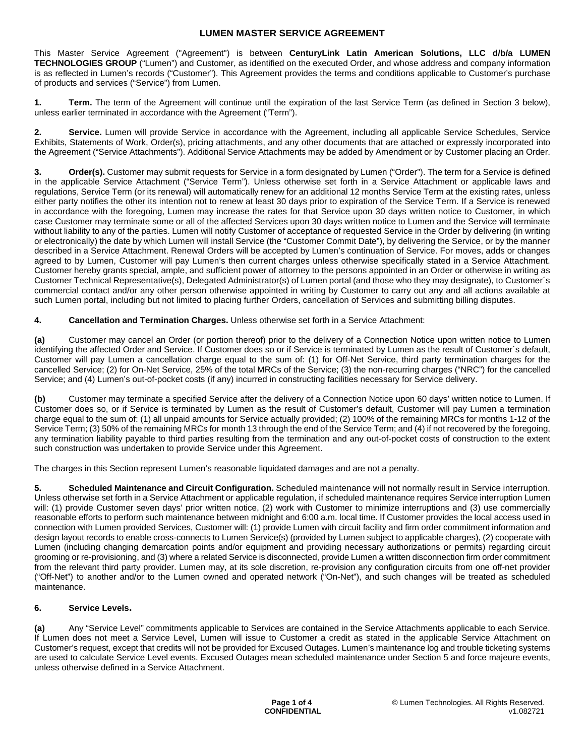This Master Service Agreement ("Agreement") is between **CenturyLink Latin American Solutions, LLC d/b/a LUMEN TECHNOLOGIES GROUP** ("Lumen") and Customer, as identified on the executed Order, and whose address and company information is as reflected in Lumen's records ("Customer"). This Agreement provides the terms and conditions applicable to Customer's purchase of products and services ("Service") from Lumen.

**1. Term.** The term of the Agreement will continue until the expiration of the last Service Term (as defined in Section 3 below), unless earlier terminated in accordance with the Agreement ("Term").

**2. Service.** Lumen will provide Service in accordance with the Agreement, including all applicable Service Schedules, Service Exhibits, Statements of Work, Order(s), pricing attachments, and any other documents that are attached or expressly incorporated into the Agreement ("Service Attachments"). Additional Service Attachments may be added by Amendment or by Customer placing an Order.

**3. Order(s).** Customer may submit requests for Service in a form designated by Lumen ("Order"). The term for a Service is defined in the applicable Service Attachment ("Service Term"). Unless otherwise set forth in a Service Attachment or applicable laws and regulations, Service Term (or its renewal) will automatically renew for an additional 12 months Service Term at the existing rates, unless either party notifies the other its intention not to renew at least 30 days prior to expiration of the Service Term. If a Service is renewed in accordance with the foregoing, Lumen may increase the rates for that Service upon 30 days written notice to Customer, in which case Customer may terminate some or all of the affected Services upon 30 days written notice to Lumen and the Service will terminate without liability to any of the parties. Lumen will notify Customer of acceptance of requested Service in the Order by delivering (in writing or electronically) the date by which Lumen will install Service (the "Customer Commit Date"), by delivering the Service, or by the manner described in a Service Attachment. Renewal Orders will be accepted by Lumen's continuation of Service. For moves, adds or changes agreed to by Lumen, Customer will pay Lumen's then current charges unless otherwise specifically stated in a Service Attachment. Customer hereby grants special, ample, and sufficient power of attorney to the persons appointed in an Order or otherwise in writing as Customer Technical Representative(s), Delegated Administrator(s) of Lumen portal (and those who they may designate), to Customer´s commercial contact and/or any other person otherwise appointed in writing by Customer to carry out any and all actions available at such Lumen portal, including but not limited to placing further Orders, cancellation of Services and submitting billing disputes.

**4. Cancellation and Termination Charges.** Unless otherwise set forth in a Service Attachment:

**(a)** Customer may cancel an Order (or portion thereof) prior to the delivery of a Connection Notice upon written notice to Lumen identifying the affected Order and Service. If Customer does so or if Service is terminated by Lumen as the result of Customer´s default, Customer will pay Lumen a cancellation charge equal to the sum of: (1) for Off-Net Service, third party termination charges for the cancelled Service; (2) for On-Net Service, 25% of the total MRCs of the Service; (3) the non-recurring charges ("NRC") for the cancelled Service; and (4) Lumen's out-of-pocket costs (if any) incurred in constructing facilities necessary for Service delivery.

**(b)** Customer may terminate a specified Service after the delivery of a Connection Notice upon 60 days' written notice to Lumen. If Customer does so, or if Service is terminated by Lumen as the result of Customer's default, Customer will pay Lumen a termination charge equal to the sum of: (1) all unpaid amounts for Service actually provided; (2) 100% of the remaining MRCs for months 1-12 of the Service Term; (3) 50% of the remaining MRCs for month 13 through the end of the Service Term; and (4) if not recovered by the foregoing, any termination liability payable to third parties resulting from the termination and any out-of-pocket costs of construction to the extent such construction was undertaken to provide Service under this Agreement.

The charges in this Section represent Lumen's reasonable liquidated damages and are not a penalty.

**5. Scheduled Maintenance and Circuit Configuration.** Scheduled maintenance will not normally result in Service interruption. Unless otherwise set forth in a Service Attachment or applicable regulation, if scheduled maintenance requires Service interruption Lumen will: (1) provide Customer seven days' prior written notice, (2) work with Customer to minimize interruptions and (3) use commercially reasonable efforts to perform such maintenance between midnight and 6:00 a.m. local time. If Customer provides the local access used in connection with Lumen provided Services, Customer will: (1) provide Lumen with circuit facility and firm order commitment information and design layout records to enable cross-connects to Lumen Service(s) (provided by Lumen subject to applicable charges), (2) cooperate with Lumen (including changing demarcation points and/or equipment and providing necessary authorizations or permits) regarding circuit grooming or re-provisioning, and (3) where a related Service is disconnected, provide Lumen a written disconnection firm order commitment from the relevant third party provider. Lumen may, at its sole discretion, re-provision any configuration circuits from one off-net provider ("Off-Net") to another and/or to the Lumen owned and operated network ("On-Net"), and such changes will be treated as scheduled maintenance.

#### **6. Service Levels.**

**(a)** Any "Service Level" commitments applicable to Services are contained in the Service Attachments applicable to each Service. If Lumen does not meet a Service Level, Lumen will issue to Customer a credit as stated in the applicable Service Attachment on Customer's request, except that credits will not be provided for Excused Outages. Lumen's maintenance log and trouble ticketing systems are used to calculate Service Level events. Excused Outages mean scheduled maintenance under Section 5 and force majeure events, unless otherwise defined in a Service Attachment.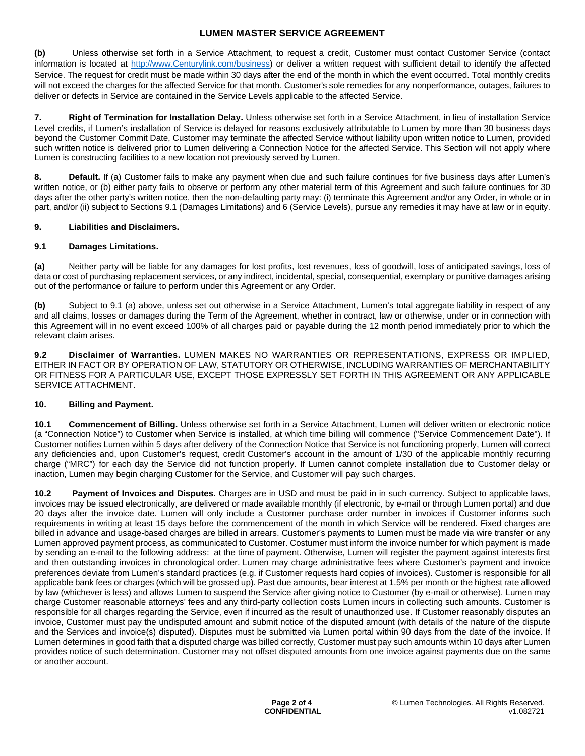**(b)** Unless otherwise set forth in a Service Attachment, to request a credit, Customer must contact Customer Service (contact information is located at [http://www.Centurylink.com/business\)](http://www.centurylink.com/business) or deliver a written request with sufficient detail to identify the affected Service. The request for credit must be made within 30 days after the end of the month in which the event occurred. Total monthly credits will not exceed the charges for the affected Service for that month. Customer's sole remedies for any nonperformance, outages. failures to deliver or defects in Service are contained in the Service Levels applicable to the affected Service.

**7. Right of Termination for Installation Delay.** Unless otherwise set forth in a Service Attachment, in lieu of installation Service Level credits, if Lumen's installation of Service is delayed for reasons exclusively attributable to Lumen by more than 30 business days beyond the Customer Commit Date, Customer may terminate the affected Service without liability upon written notice to Lumen, provided such written notice is delivered prior to Lumen delivering a Connection Notice for the affected Service. This Section will not apply where Lumen is constructing facilities to a new location not previously served by Lumen.

**8. Default.** If (a) Customer fails to make any payment when due and such failure continues for five business days after Lumen's written notice, or (b) either party fails to observe or perform any other material term of this Agreement and such failure continues for 30 days after the other party's written notice, then the non-defaulting party may: (i) terminate this Agreement and/or any Order, in whole or in part, and/or (ii) subject to Sections 9.1 (Damages Limitations) and 6 (Service Levels), pursue any remedies it may have at law or in equity.

#### **9. Liabilities and Disclaimers.**

### **9.1 Damages Limitations.**

**(a)** Neither party will be liable for any damages for lost profits, lost revenues, loss of goodwill, loss of anticipated savings, loss of data or cost of purchasing replacement services, or any indirect, incidental, special, consequential, exemplary or punitive damages arising out of the performance or failure to perform under this Agreement or any Order.

**(b)** Subject to 9.1 (a) above, unless set out otherwise in a Service Attachment, Lumen's total aggregate liability in respect of any and all claims, losses or damages during the Term of the Agreement, whether in contract, law or otherwise, under or in connection with this Agreement will in no event exceed 100% of all charges paid or payable during the 12 month period immediately prior to which the relevant claim arises.

**9.2 Disclaimer of Warranties.** LUMEN MAKES NO WARRANTIES OR REPRESENTATIONS, EXPRESS OR IMPLIED, EITHER IN FACT OR BY OPERATION OF LAW, STATUTORY OR OTHERWISE, INCLUDING WARRANTIES OF MERCHANTABILITY OR FITNESS FOR A PARTICULAR USE, EXCEPT THOSE EXPRESSLY SET FORTH IN THIS AGREEMENT OR ANY APPLICABLE SERVICE ATTACHMENT.

#### **10. Billing and Payment.**

**10.1 Commencement of Billing.** Unless otherwise set forth in a Service Attachment, Lumen will deliver written or electronic notice (a "Connection Notice") to Customer when Service is installed, at which time billing will commence ("Service Commencement Date"). If Customer notifies Lumen within 5 days after delivery of the Connection Notice that Service is not functioning properly, Lumen will correct any deficiencies and, upon Customer's request, credit Customer's account in the amount of 1/30 of the applicable monthly recurring charge ("MRC") for each day the Service did not function properly. If Lumen cannot complete installation due to Customer delay or inaction, Lumen may begin charging Customer for the Service, and Customer will pay such charges.

**10.2 Payment of Invoices and Disputes.** Charges are in USD and must be paid in in such currency. Subject to applicable laws, invoices may be issued electronically, are delivered or made available monthly (if electronic, by e-mail or through Lumen portal) and due 20 days after the invoice date. Lumen will only include a Customer purchase order number in invoices if Customer informs such requirements in writing at least 15 days before the commencement of the month in which Service will be rendered. Fixed charges are billed in advance and usage-based charges are billed in arrears. Customer's payments to Lumen must be made via wire transfer or any Lumen approved payment process, as communicated to Customer. Costumer must inform the invoice number for which payment is made by sending an e-mail to the following address: at the time of payment. Otherwise, Lumen will register the payment against interests first and then outstanding invoices in chronological order. Lumen may charge administrative fees where Customer's payment and invoice preferences deviate from Lumen's standard practices (e.g. if Customer requests hard copies of invoices). Customer is responsible for all applicable bank fees or charges (which will be grossed up). Past due amounts, bear interest at 1.5% per month or the highest rate allowed by law (whichever is less) and allows Lumen to suspend the Service after giving notice to Customer (by e-mail or otherwise). Lumen may charge Customer reasonable attorneys' fees and any third-party collection costs Lumen incurs in collecting such amounts. Customer is responsible for all charges regarding the Service, even if incurred as the result of unauthorized use. If Customer reasonably disputes an invoice, Customer must pay the undisputed amount and submit notice of the disputed amount (with details of the nature of the dispute and the Services and invoice(s) disputed). Disputes must be submitted via Lumen portal within 90 days from the date of the invoice. If Lumen determines in good faith that a disputed charge was billed correctly, Customer must pay such amounts within 10 days after Lumen provides notice of such determination. Customer may not offset disputed amounts from one invoice against payments due on the same or another account.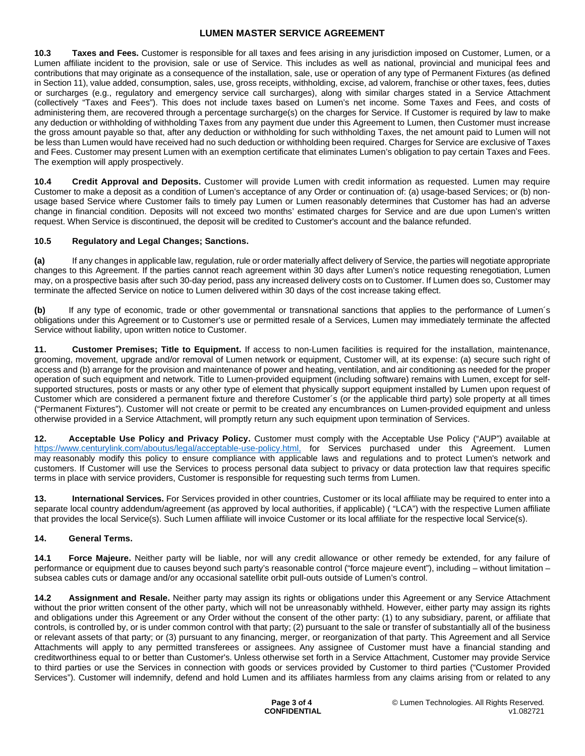**10.3 Taxes and Fees.** Customer is responsible for all taxes and fees arising in any jurisdiction imposed on Customer, Lumen, or a Lumen affiliate incident to the provision, sale or use of Service. This includes as well as national, provincial and municipal fees and contributions that may originate as a consequence of the installation, sale, use or operation of any type of Permanent Fixtures (as defined in Section 11), value added, consumption, sales, use, gross receipts, withholding, excise, ad valorem, franchise or other taxes, fees, duties or surcharges (e.g., regulatory and emergency service call surcharges), along with similar charges stated in a Service Attachment (collectively "Taxes and Fees"). This does not include taxes based on Lumen's net income. Some Taxes and Fees, and costs of administering them, are recovered through a percentage surcharge(s) on the charges for Service. If Customer is required by law to make any deduction or withholding of withholding Taxes from any payment due under this Agreement to Lumen, then Customer must increase the gross amount payable so that, after any deduction or withholding for such withholding Taxes, the net amount paid to Lumen will not be less than Lumen would have received had no such deduction or withholding been required. Charges for Service are exclusive of Taxes and Fees. Customer may present Lumen with an exemption certificate that eliminates Lumen's obligation to pay certain Taxes and Fees. The exemption will apply prospectively.

**10.4 Credit Approval and Deposits.** Customer will provide Lumen with credit information as requested. Lumen may require Customer to make a deposit as a condition of Lumen's acceptance of any Order or continuation of: (a) usage-based Services; or (b) nonusage based Service where Customer fails to timely pay Lumen or Lumen reasonably determines that Customer has had an adverse change in financial condition. Deposits will not exceed two months' estimated charges for Service and are due upon Lumen's written request. When Service is discontinued, the deposit will be credited to Customer's account and the balance refunded.

# **10.5 Regulatory and Legal Changes; Sanctions.**

**(a)** If any changes in applicable law, regulation, rule or order materially affect delivery of Service, the parties will negotiate appropriate changes to this Agreement. If the parties cannot reach agreement within 30 days after Lumen's notice requesting renegotiation, Lumen may, on a prospective basis after such 30-day period, pass any increased delivery costs on to Customer. If Lumen does so, Customer may terminate the affected Service on notice to Lumen delivered within 30 days of the cost increase taking effect.

**(b)** If any type of economic, trade or other governmental or transnational sanctions that applies to the performance of Lumen´s obligations under this Agreement or to Customer's use or permitted resale of a Services, Lumen may immediately terminate the affected Service without liability, upon written notice to Customer.

**11. Customer Premises; Title to Equipment.** If access to non-Lumen facilities is required for the installation, maintenance, grooming, movement, upgrade and/or removal of Lumen network or equipment, Customer will, at its expense: (a) secure such right of access and (b) arrange for the provision and maintenance of power and heating, ventilation, and air conditioning as needed for the proper operation of such equipment and network. Title to Lumen-provided equipment (including software) remains with Lumen, except for selfsupported structures, posts or masts or any other type of element that physically support equipment installed by Lumen upon request of Customer which are considered a permanent fixture and therefore Customer´s (or the applicable third party) sole property at all times ("Permanent Fixtures"). Customer will not create or permit to be created any encumbrances on Lumen-provided equipment and unless otherwise provided in a Service Attachment, will promptly return any such equipment upon termination of Services.

**12. Acceptable Use Policy and Privacy Policy.** Customer must comply with the Acceptable Use Policy ("AUP") available at https://www.centurylink.com/aboutus/legal/acceptable-use-policy.html, for Services purchased under this Agreement. Lumen may reasonably modify this policy to ensure compliance with applicable laws and regulations and to protect Lumen's network and customers. If Customer will use the Services to process personal data subject to privacy or data protection law that requires specific terms in place with service providers, Customer is responsible for requesting such terms from Lumen.

**13. International Services.** For Services provided in other countries, Customer or its local affiliate may be required to enter into a separate local country addendum/agreement (as approved by local authorities, if applicable) ( "LCA") with the respective Lumen affiliate that provides the local Service(s). Such Lumen affiliate will invoice Customer or its local affiliate for the respective local Service(s).

# **14. General Terms.**

**14.1 Force Majeure.** Neither party will be liable, nor will any credit allowance or other remedy be extended, for any failure of performance or equipment due to causes beyond such party's reasonable control ("force majeure event"), including – without limitation – subsea cables cuts or damage and/or any occasional satellite orbit pull-outs outside of Lumen's control.

**14.2 Assignment and Resale.** Neither party may assign its rights or obligations under this Agreement or any Service Attachment without the prior written consent of the other party, which will not be unreasonably withheld. However, either party may assign its rights and obligations under this Agreement or any Order without the consent of the other party: (1) to any subsidiary, parent, or affiliate that controls, is controlled by, or is under common control with that party; (2) pursuant to the sale or transfer of substantially all of the business or relevant assets of that party; or (3) pursuant to any financing, merger, or reorganization of that party. This Agreement and all Service Attachments will apply to any permitted transferees or assignees. Any assignee of Customer must have a financial standing and creditworthiness equal to or better than Customer's. Unless otherwise set forth in a Service Attachment, Customer may provide Service to third parties or use the Services in connection with goods or services provided by Customer to third parties ("Customer Provided Services"). Customer will indemnify, defend and hold Lumen and its affiliates harmless from any claims arising from or related to any